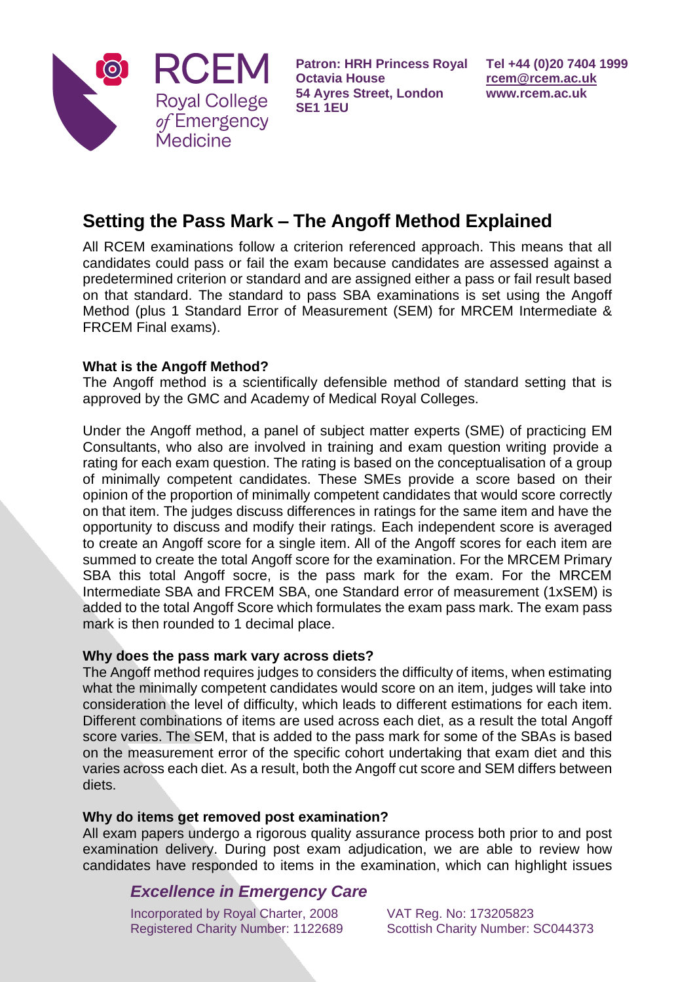

**Patron: HRH Princess Royal Octavia House 54 Ayres Street, London SE1 1EU**

# **Setting the Pass Mark – The Angoff Method Explained**

All RCEM examinations follow a criterion referenced approach. This means that all candidates could pass or fail the exam because candidates are assessed against a predetermined criterion or standard and are assigned either a pass or fail result based on that standard. The standard to pass SBA examinations is set using the Angoff Method (plus 1 Standard Error of Measurement (SEM) for MRCEM Intermediate & FRCEM Final exams).

## **What is the Angoff Method?**

The Angoff method is a scientifically defensible method of standard setting that is approved by the GMC and Academy of Medical Royal Colleges.

Under the Angoff method, a panel of subject matter experts (SME) of practicing EM Consultants, who also are involved in training and exam question writing provide a rating for each exam question. The rating is based on the conceptualisation of a group of minimally competent candidates. These SMEs provide a score based on their opinion of the proportion of minimally competent candidates that would score correctly on that item. The judges discuss differences in ratings for the same item and have the opportunity to discuss and modify their ratings. Each independent score is averaged to create an Angoff score for a single item. All of the Angoff scores for each item are summed to create the total Angoff score for the examination. For the MRCEM Primary SBA this total Angoff socre, is the pass mark for the exam. For the MRCEM Intermediate SBA and FRCEM SBA, one Standard error of measurement (1xSEM) is added to the total Angoff Score which formulates the exam pass mark. The exam pass mark is then rounded to 1 decimal place.

### **Why does the pass mark vary across diets?**

The Angoff method requires judges to considers the difficulty of items, when estimating what the minimally competent candidates would score on an item, judges will take into consideration the level of difficulty, which leads to different estimations for each item. Different combinations of items are used across each diet, as a result the total Angoff score varies. The SEM, that is added to the pass mark for some of the SBAs is based on the measurement error of the specific cohort undertaking that exam diet and this varies across each diet. As a result, both the Angoff cut score and SEM differs between diets.

### **Why do items get removed post examination?**

All exam papers undergo a rigorous quality assurance process both prior to and post examination delivery. During post exam adjudication, we are able to review how candidates have responded to items in the examination, which can highlight issues

# *Excellence in Emergency Care*

Incorporated by Royal Charter, 2008 Registered Charity Number: 1122689